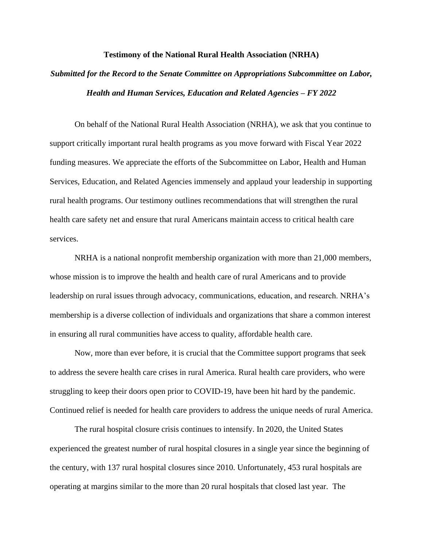## **Testimony of the National Rural Health Association (NRHA)**

## *Submitted for the Record to the Senate Committee on Appropriations Subcommittee on Labor, Health and Human Services, Education and Related Agencies – FY 2022*

On behalf of the National Rural Health Association (NRHA), we ask that you continue to support critically important rural health programs as you move forward with Fiscal Year 2022 funding measures. We appreciate the efforts of the Subcommittee on Labor, Health and Human Services, Education, and Related Agencies immensely and applaud your leadership in supporting rural health programs. Our testimony outlines recommendations that will strengthen the rural health care safety net and ensure that rural Americans maintain access to critical health care services.

NRHA is a national nonprofit membership organization with more than 21,000 members, whose mission is to improve the health and health care of rural Americans and to provide leadership on rural issues through advocacy, communications, education, and research. NRHA's membership is a diverse collection of individuals and organizations that share a common interest in ensuring all rural communities have access to quality, affordable health care.

Now, more than ever before, it is crucial that the Committee support programs that seek to address the severe health care crises in rural America. Rural health care providers, who were struggling to keep their doors open prior to COVID-19, have been hit hard by the pandemic. Continued relief is needed for health care providers to address the unique needs of rural America.

The rural hospital closure crisis continues to intensify. In 2020, the United States experienced the greatest number of rural hospital closures in a single year since the beginning of the century, with 137 rural hospital closures since 2010. Unfortunately, 453 rural hospitals are operating at margins similar to the more than 20 rural hospitals that closed last year. The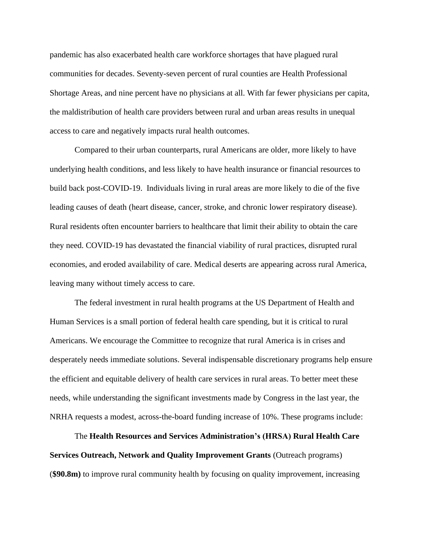pandemic has also exacerbated health care workforce shortages that have plagued rural communities for decades. Seventy-seven percent of rural counties are Health Professional Shortage Areas, and nine percent have no physicians at all. With far fewer physicians per capita, the maldistribution of health care providers between rural and urban areas results in unequal access to care and negatively impacts rural health outcomes.

Compared to their urban counterparts, rural Americans are older, more likely to have underlying health conditions, and less likely to have health insurance or financial resources to build back post-COVID-19. Individuals living in rural areas are more likely to die of the five leading causes of death (heart disease, cancer, stroke, and chronic lower respiratory disease). Rural residents often encounter barriers to healthcare that limit their ability to obtain the care they need. COVID-19 has devastated the financial viability of rural practices, disrupted rural economies, and eroded availability of care. Medical deserts are appearing across rural America, leaving many without timely access to care.

The federal investment in rural health programs at the US Department of Health and Human Services is a small portion of federal health care spending, but it is critical to rural Americans. We encourage the Committee to recognize that rural America is in crises and desperately needs immediate solutions. Several indispensable discretionary programs help ensure the efficient and equitable delivery of health care services in rural areas. To better meet these needs, while understanding the significant investments made by Congress in the last year, the NRHA requests a modest, across-the-board funding increase of 10%. These programs include:

The **Health Resources and Services Administration's (HRSA) Rural Health Care Services Outreach, Network and Quality Improvement Grants** (Outreach programs) (**\$90.8m)** to improve rural community health by focusing on quality improvement, increasing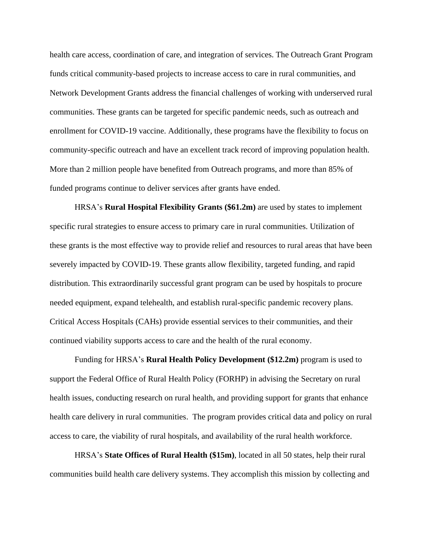health care access, coordination of care, and integration of services. The Outreach Grant Program funds critical community-based projects to increase access to care in rural communities, and Network Development Grants address the financial challenges of working with underserved rural communities. These grants can be targeted for specific pandemic needs, such as outreach and enrollment for COVID-19 vaccine. Additionally, these programs have the flexibility to focus on community-specific outreach and have an excellent track record of improving population health. More than 2 million people have benefited from Outreach programs, and more than 85% of funded programs continue to deliver services after grants have ended.

HRSA's **Rural Hospital Flexibility Grants (\$61.2m)** are used by states to implement specific rural strategies to ensure access to primary care in rural communities. Utilization of these grants is the most effective way to provide relief and resources to rural areas that have been severely impacted by COVID-19. These grants allow flexibility, targeted funding, and rapid distribution. This extraordinarily successful grant program can be used by hospitals to procure needed equipment, expand telehealth, and establish rural-specific pandemic recovery plans. Critical Access Hospitals (CAHs) provide essential services to their communities, and their continued viability supports access to care and the health of the rural economy.

Funding for HRSA's **Rural Health Policy Development (\$12.2m)** program is used to support the Federal Office of Rural Health Policy (FORHP) in advising the Secretary on rural health issues, conducting research on rural health, and providing support for grants that enhance health care delivery in rural communities. The program provides critical data and policy on rural access to care, the viability of rural hospitals, and availability of the rural health workforce.

HRSA's **State Offices of Rural Health (\$15m)**, located in all 50 states, help their rural communities build health care delivery systems. They accomplish this mission by collecting and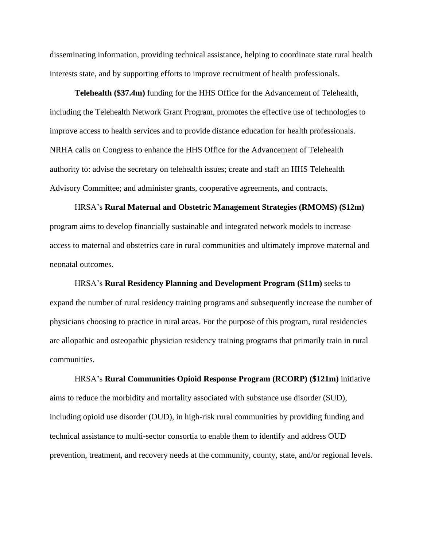disseminating information, providing technical assistance, helping to coordinate state rural health interests state, and by supporting efforts to improve recruitment of health professionals.

**Telehealth (\$37.4m)** funding for the HHS Office for the Advancement of Telehealth, including the Telehealth Network Grant Program, promotes the effective use of technologies to improve access to health services and to provide distance education for health professionals. NRHA calls on Congress to enhance the HHS Office for the Advancement of Telehealth authority to: advise the secretary on telehealth issues; create and staff an HHS Telehealth Advisory Committee; and administer grants, cooperative agreements, and contracts.

HRSA's **Rural Maternal and Obstetric Management Strategies (RMOMS) (\$12m)**  program aims to develop financially sustainable and integrated network models to increase access to maternal and obstetrics care in rural communities and ultimately improve maternal and neonatal outcomes.

HRSA's **Rural Residency Planning and Development Program (\$11m)** seeks to expand the number of rural residency training programs and subsequently increase the number of physicians choosing to practice in rural areas. For the purpose of this program, rural residencies are allopathic and osteopathic physician residency training programs that primarily train in rural communities.

HRSA's **Rural Communities Opioid Response Program (RCORP) (\$121m)** initiative aims to reduce the morbidity and mortality associated with substance use disorder (SUD), including opioid use disorder (OUD), in high-risk rural communities by providing funding and technical assistance to multi-sector consortia to enable them to identify and address OUD prevention, treatment, and recovery needs at the community, county, state, and/or regional levels.